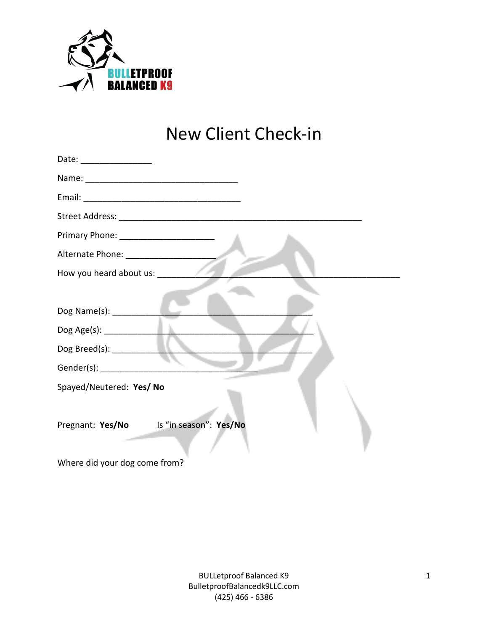

## New Client Check-in

| Date: ___________________                       |
|-------------------------------------------------|
|                                                 |
|                                                 |
|                                                 |
|                                                 |
|                                                 |
| How you heard about us: Now you heard about us: |
|                                                 |
|                                                 |
|                                                 |
| Dog Breed(s): ___________                       |
|                                                 |
| Spayed/Neutered: Yes/ No                        |
|                                                 |
| Pregnant: Yes/No Is "in season": Yes/No         |
|                                                 |
|                                                 |

Where did your dog come from?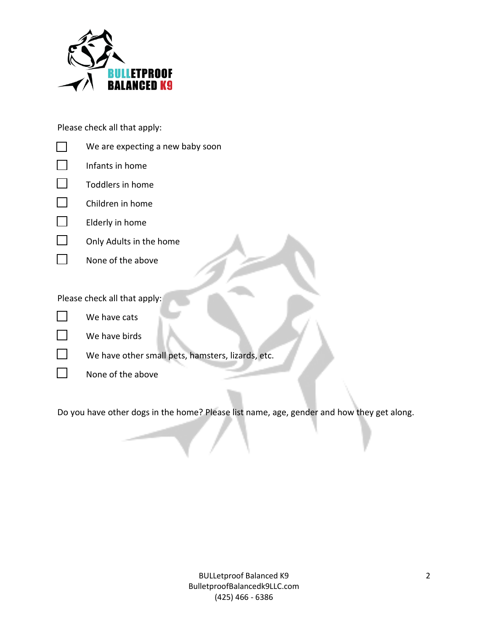

Please check all that apply:



 $\Box$ None of the above

Do you have other dogs in the home? Please list name, age, gender and how they get along.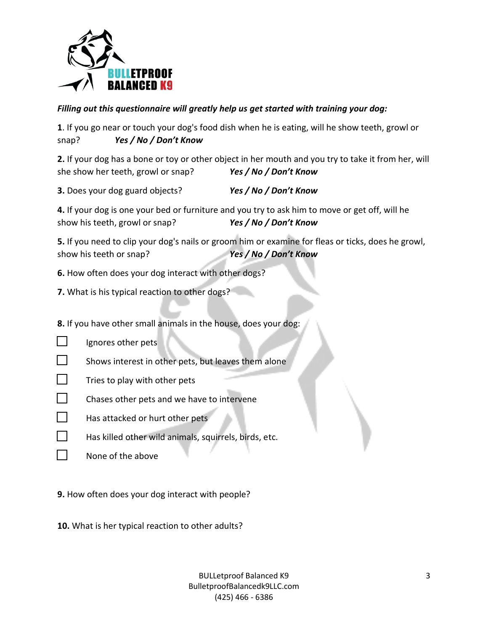

## *Filling out this questionnaire will greatly help us get started with training your dog:*

**1**. If you go near or touch your dog's food dish when he is eating, will he show teeth, growl or snap? *Yes / No / Don't Know*

**2.** If your dog has a bone or toy or other object in her mouth and you try to take it from her, will she show her teeth, growl or snap? *Yes / No / Don't Know*

**3.** Does your dog guard objects? *Yes / No / Don't Know*

**4.** If your dog is one your bed or furniture and you try to ask him to move or get off, will he show his teeth, growl or snap? *Yes / No / Don't Know*

**5.** If you need to clip your dog's nails or groom him or examine for fleas or ticks, does he growl, show his teeth or snap? *Yes / No / Don't Know*

**6.** How often does your dog interact with other dogs?

**7.** What is his typical reaction to other dogs?

**8.** If you have other small animals in the house, does your dog:

- $\Box$ Ignores other pets
- $\Box$ Shows interest in other pets, but leaves them alone
- $\Box$ Tries to play with other pets
- $\Box$ Chases other pets and we have to intervene
- $\Box$ Has attacked or hurt other pets
- $\vert \ \ \vert$ Has killed other wild animals, squirrels, birds, etc.
- $\Box$ None of the above

**9.** How often does your dog interact with people?

**10.** What is her typical reaction to other adults?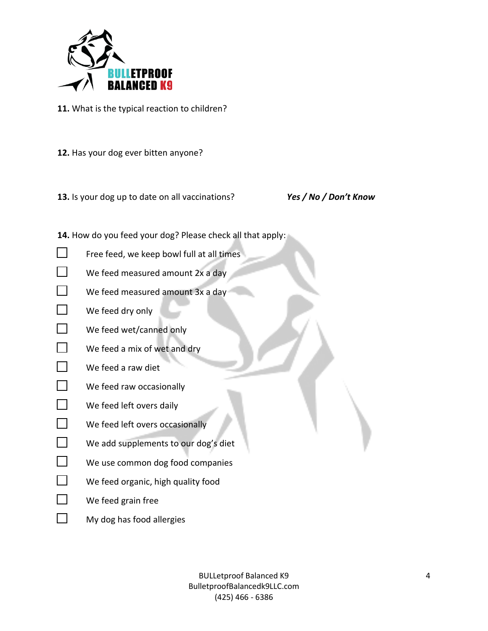

**11.** What is the typical reaction to children?

- **12.** Has your dog ever bitten anyone?
- **13.** Is your dog up to date on all vaccinations? *Yes / No / Don't Know*

- **14.** How do you feed your dog? Please check all that apply:
- $\Box$ Free feed, we keep bowl full at all times
- $\Box$ We feed measured amount 2x a day
- $\Box$ We feed measured amount 3x a day
- $\Box$ We feed dry only
- $\Box$ We feed wet/canned only
- $\Box$ We feed a mix of wet and dry

## $\Box$ We feed a raw diet

- $\Box$ We feed raw occasionally
- $\Box$ We feed left overs daily
- $\Box$ We feed left overs occasionally
- $\Box$ We add supplements to our dog's diet
- $\Box$ We use common dog food companies
- $\Box$ We feed organic, high quality food
- $\Box$ We feed grain free
- $\Box$ My dog has food allergies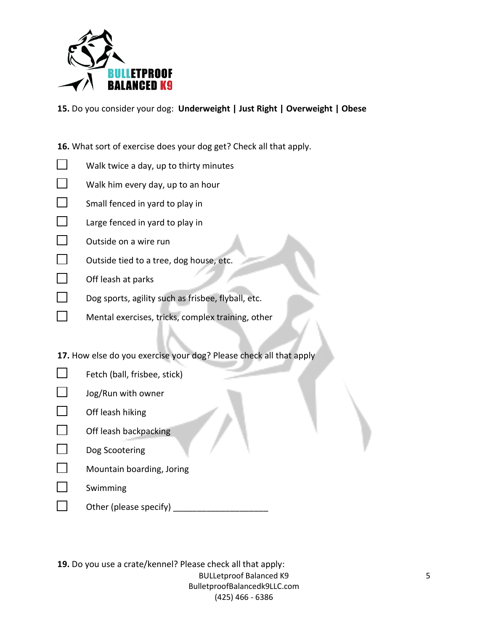

**15.** Do you consider your dog: **Underweight | Just Right | Overweight | Obese**

**16.** What sort of exercise does your dog get? Check all that apply.

- $\Box$ Walk twice a day, up to thirty minutes
- $\Box$ Walk him every day, up to an hour
- $\Box$ Small fenced in yard to play in
- П Large fenced in yard to play in
- $\Box$ Outside on a wire run
- $\Box$ Outside tied to a tree, dog house, etc.
- $\Box$ Off leash at parks
- $\Box$ Dog sports, agility such as frisbee, flyball, etc.
- $\Box$ Mental exercises, tricks, complex training, other

**17.** How else do you exercise your dog? Please check all that apply

- $\Box$ Fetch (ball, frisbee, stick)
- $\Box$ Jog/Run with owner
- $\Box$ Off leash hiking
- П Off leash backpacking
- $\Box$ Dog Scootering
- $\Box$ Mountain boarding, Joring
- $\Box$ Swimming
- $\Box$ Other (please specify) \_\_\_\_\_\_\_\_\_\_\_\_\_\_\_\_\_\_\_\_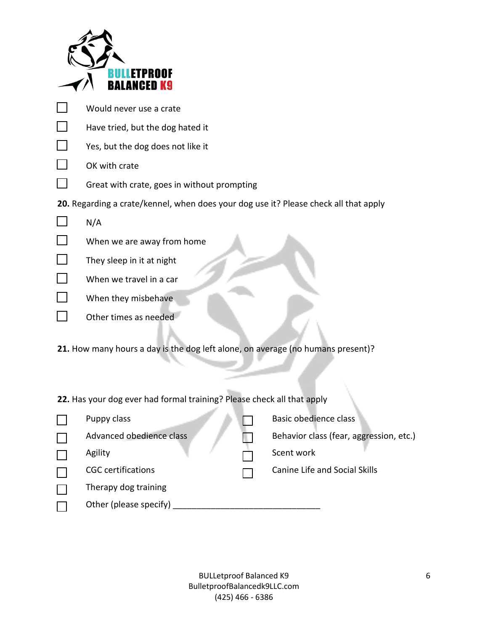| ETPROOF                                                                              |  |                                         |  |  |
|--------------------------------------------------------------------------------------|--|-----------------------------------------|--|--|
| BALANCED K9                                                                          |  |                                         |  |  |
| Would never use a crate                                                              |  |                                         |  |  |
| Have tried, but the dog hated it                                                     |  |                                         |  |  |
| Yes, but the dog does not like it                                                    |  |                                         |  |  |
| OK with crate                                                                        |  |                                         |  |  |
| Great with crate, goes in without prompting                                          |  |                                         |  |  |
| 20. Regarding a crate/kennel, when does your dog use it? Please check all that apply |  |                                         |  |  |
| N/A                                                                                  |  |                                         |  |  |
| When we are away from home                                                           |  |                                         |  |  |
| They sleep in it at night                                                            |  |                                         |  |  |
| When we travel in a car                                                              |  |                                         |  |  |
| When they misbehave                                                                  |  |                                         |  |  |
| Other times as needed                                                                |  |                                         |  |  |
|                                                                                      |  |                                         |  |  |
| 21. How many hours a day is the dog left alone, on average (no humans present)?      |  |                                         |  |  |
|                                                                                      |  |                                         |  |  |
|                                                                                      |  |                                         |  |  |
| 22. Has your dog ever had formal training? Please check all that apply               |  |                                         |  |  |
| Puppy class                                                                          |  | Basic obedience class                   |  |  |
| Advanced obedience class                                                             |  | Behavior class (fear, aggression, etc.) |  |  |
| Agility                                                                              |  | Scent work                              |  |  |
| <b>CGC</b> certifications                                                            |  | <b>Canine Life and Social Skills</b>    |  |  |
| Therapy dog training                                                                 |  |                                         |  |  |

Other (please specify) \_\_\_\_\_\_\_\_\_\_\_\_\_\_\_\_\_\_\_\_\_\_\_\_\_\_\_\_\_\_\_

 $\Box$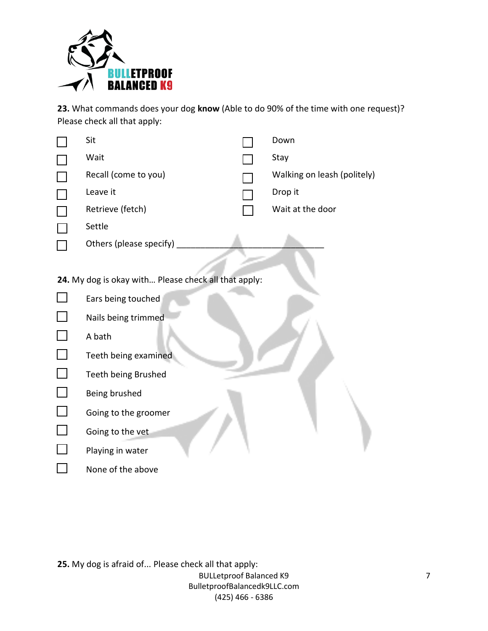

**23.** What commands does your dog **know** (Able to do 90% of the time with one request)? Please check all that apply:

| Sit                                                  | Down                        |  |
|------------------------------------------------------|-----------------------------|--|
| Wait                                                 | Stay                        |  |
| Recall (come to you)                                 | Walking on leash (politely) |  |
| Leave it                                             | Drop it                     |  |
| Retrieve (fetch)                                     | Wait at the door            |  |
| Settle                                               |                             |  |
| Others (please specify)                              |                             |  |
|                                                      |                             |  |
| 24. My dog is okay with Please check all that apply: |                             |  |
| Ears being touched                                   |                             |  |
| Nails being trimmed                                  |                             |  |
| A bath                                               |                             |  |
| Teeth being examined                                 |                             |  |
| Teeth being Brushed                                  |                             |  |
| Being brushed                                        |                             |  |
| Going to the groomer                                 |                             |  |
| Going to the vet                                     |                             |  |
| Playing in water                                     |                             |  |
| None of the above                                    |                             |  |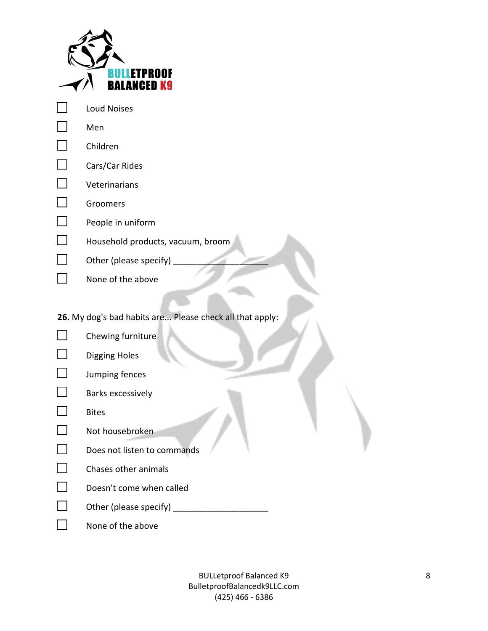|                          | ETPROOF                                                  |
|--------------------------|----------------------------------------------------------|
|                          | ALANCED K9                                               |
|                          | <b>Loud Noises</b>                                       |
| $\Box$                   | Men                                                      |
| $\Box$                   | Children                                                 |
| $\overline{\phantom{0}}$ | Cars/Car Rides                                           |
| $\Box$                   | Veterinarians                                            |
| $\overline{\phantom{a}}$ | Groomers                                                 |
| $\Box$                   | People in uniform                                        |
| $\Box$                   | Household products, vacuum, broom                        |
|                          | Other (please specify)                                   |
|                          | None of the above                                        |
|                          |                                                          |
|                          | 26. My dog's bad habits are Please check all that apply: |
|                          | Chewing furniture                                        |
|                          | <b>Digging Holes</b>                                     |
|                          | Jumping fences                                           |
|                          | <b>Barks excessively</b>                                 |
|                          | <b>Bites</b>                                             |

- $\Box$ Not housebroken
- $\Box$ Does not listen to commands
- $\Box$ Chases other animals
- $\Box$ Doesn't come when called
- $\Box$ Other (please specify) \_\_\_\_\_\_\_\_\_\_\_\_\_\_\_\_\_\_\_\_
- $\Box$ None of the above

BULLetproof Balanced K9 8 BulletproofBalancedk9LLC.com (425) 466 - 6386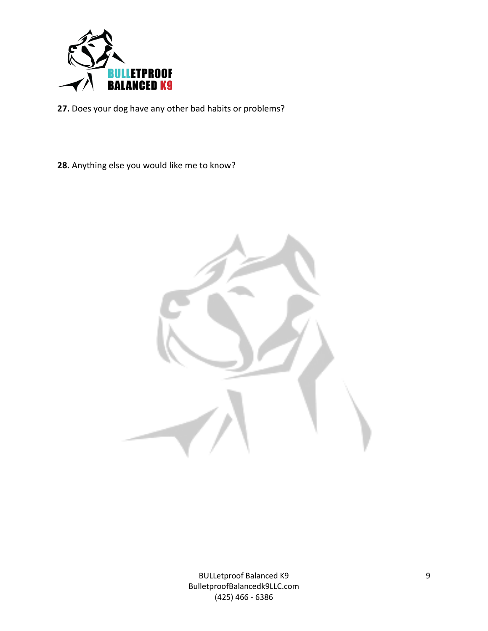

**27.** Does your dog have any other bad habits or problems?

**28.** Anything else you would like me to know?